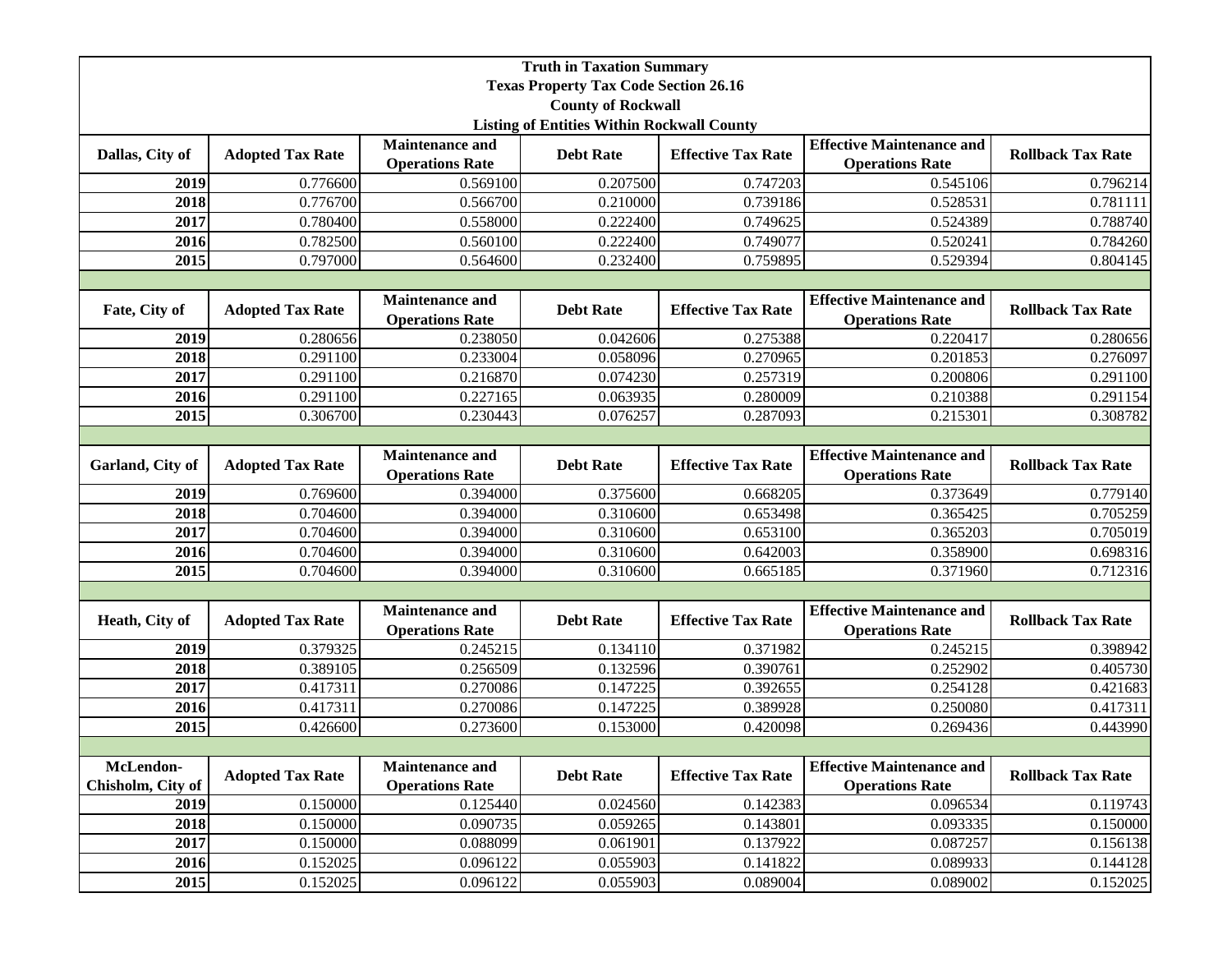| <b>Truth in Taxation Summary</b>                  |                         |                                                  |                  |                           |                                                            |                          |  |  |
|---------------------------------------------------|-------------------------|--------------------------------------------------|------------------|---------------------------|------------------------------------------------------------|--------------------------|--|--|
| <b>Texas Property Tax Code Section 26.16</b>      |                         |                                                  |                  |                           |                                                            |                          |  |  |
| <b>County of Rockwall</b>                         |                         |                                                  |                  |                           |                                                            |                          |  |  |
| <b>Listing of Entities Within Rockwall County</b> |                         |                                                  |                  |                           |                                                            |                          |  |  |
| Dallas, City of                                   | <b>Adopted Tax Rate</b> | <b>Maintenance and</b><br><b>Operations Rate</b> | <b>Debt Rate</b> | <b>Effective Tax Rate</b> | <b>Effective Maintenance and</b><br><b>Operations Rate</b> | <b>Rollback Tax Rate</b> |  |  |
| 2019                                              | 0.776600                | 0.569100                                         | 0.207500         | 0.747203                  | 0.545106                                                   | 0.796214                 |  |  |
| 2018                                              | 0.776700                | 0.566700                                         | 0.210000         | 0.739186                  | 0.528531                                                   | 0.781111                 |  |  |
| 2017                                              | 0.780400                | 0.558000                                         | 0.222400         | 0.749625                  | 0.524389                                                   | 0.788740                 |  |  |
| 2016                                              | 0.782500                | 0.560100                                         | 0.222400         | 0.749077                  | 0.520241                                                   | 0.784260                 |  |  |
| 2015                                              | 0.797000                | 0.564600                                         | 0.232400         | 0.759895                  | 0.529394                                                   | 0.804145                 |  |  |
|                                                   |                         |                                                  |                  |                           |                                                            |                          |  |  |
| Fate, City of                                     | <b>Adopted Tax Rate</b> | <b>Maintenance and</b><br><b>Operations Rate</b> | <b>Debt Rate</b> | <b>Effective Tax Rate</b> | <b>Effective Maintenance and</b><br><b>Operations Rate</b> | <b>Rollback Tax Rate</b> |  |  |
| 2019                                              | 0.280656                | 0.238050                                         | 0.042606         | 0.275388                  | 0.220417                                                   | 0.280656                 |  |  |
| 2018                                              | 0.291100                | 0.233004                                         | 0.058096         | 0.270965                  | 0.201853                                                   | 0.276097                 |  |  |
| 2017                                              | 0.291100                | 0.216870                                         | 0.074230         | 0.257319                  | 0.200806                                                   | 0.291100                 |  |  |
| 2016                                              | 0.291100                | 0.227165                                         | 0.063935         | 0.280009                  | 0.210388                                                   | 0.291154                 |  |  |
| 2015                                              | 0.306700                | 0.230443                                         | 0.076257         | 0.287093                  | 0.215301                                                   | 0.308782                 |  |  |
|                                                   |                         |                                                  |                  |                           |                                                            |                          |  |  |
| Garland, City of                                  | <b>Adopted Tax Rate</b> | <b>Maintenance and</b><br><b>Operations Rate</b> | <b>Debt Rate</b> | <b>Effective Tax Rate</b> | <b>Effective Maintenance and</b><br><b>Operations Rate</b> | <b>Rollback Tax Rate</b> |  |  |
| 2019                                              | 0.769600                | 0.394000                                         | 0.375600         | 0.668205                  | 0.373649                                                   | 0.779140                 |  |  |
| 2018                                              | 0.704600                | 0.394000                                         | 0.310600         | 0.653498                  | 0.365425                                                   | 0.705259                 |  |  |
| 2017                                              | 0.704600                | 0.394000                                         | 0.310600         | 0.653100                  | 0.365203                                                   | 0.705019                 |  |  |
| 2016                                              | 0.704600                | 0.394000                                         | 0.310600         | 0.642003                  | 0.358900                                                   | 0.698316                 |  |  |
| 2015                                              | 0.704600                | 0.394000                                         | 0.310600         | 0.665185                  | 0.371960                                                   | 0.712316                 |  |  |
|                                                   |                         |                                                  |                  |                           |                                                            |                          |  |  |
| Heath, City of                                    | <b>Adopted Tax Rate</b> | <b>Maintenance and</b><br><b>Operations Rate</b> | <b>Debt Rate</b> | <b>Effective Tax Rate</b> | <b>Effective Maintenance and</b><br><b>Operations Rate</b> | <b>Rollback Tax Rate</b> |  |  |
| 2019                                              | 0.379325                | 0.245215                                         | 0.134110         | 0.371982                  | 0.245215                                                   | 0.398942                 |  |  |
| 2018                                              | 0.389105                | 0.256509                                         | 0.132596         | 0.390761                  | 0.252902                                                   | 0.405730                 |  |  |
| 2017                                              | 0.417311                | 0.270086                                         | 0.147225         | 0.392655                  | 0.254128                                                   | 0.421683                 |  |  |
| 2016                                              | 0.417311                | 0.270086                                         | 0.147225         | 0.389928                  | 0.250080                                                   | 0.417311                 |  |  |
| 2015                                              | 0.426600                | 0.273600                                         | 0.153000         | 0.420098                  | 0.269436                                                   | 0.443990                 |  |  |
|                                                   |                         |                                                  |                  |                           |                                                            |                          |  |  |
| McLendon-<br>Chisholm, City of                    | <b>Adopted Tax Rate</b> | <b>Maintenance and</b><br><b>Operations Rate</b> | <b>Debt Rate</b> | <b>Effective Tax Rate</b> | <b>Effective Maintenance and</b><br><b>Operations Rate</b> | <b>Rollback Tax Rate</b> |  |  |
| 2019                                              | 0.150000                | 0.125440                                         | 0.024560         | 0.142383                  | 0.096534                                                   | 0.119743                 |  |  |
| 2018                                              | 0.150000                | 0.090735                                         | 0.059265         | 0.143801                  | 0.093335                                                   | 0.150000                 |  |  |
| 2017                                              | 0.150000                | 0.088099                                         | 0.061901         | 0.137922                  | 0.087257                                                   | 0.156138                 |  |  |
| 2016                                              | 0.152025                | 0.096122                                         | 0.055903         | 0.141822                  | 0.089933                                                   | 0.144128                 |  |  |
| 2015                                              | 0.152025                | 0.096122                                         | 0.055903         | 0.089004                  | 0.089002                                                   | 0.152025                 |  |  |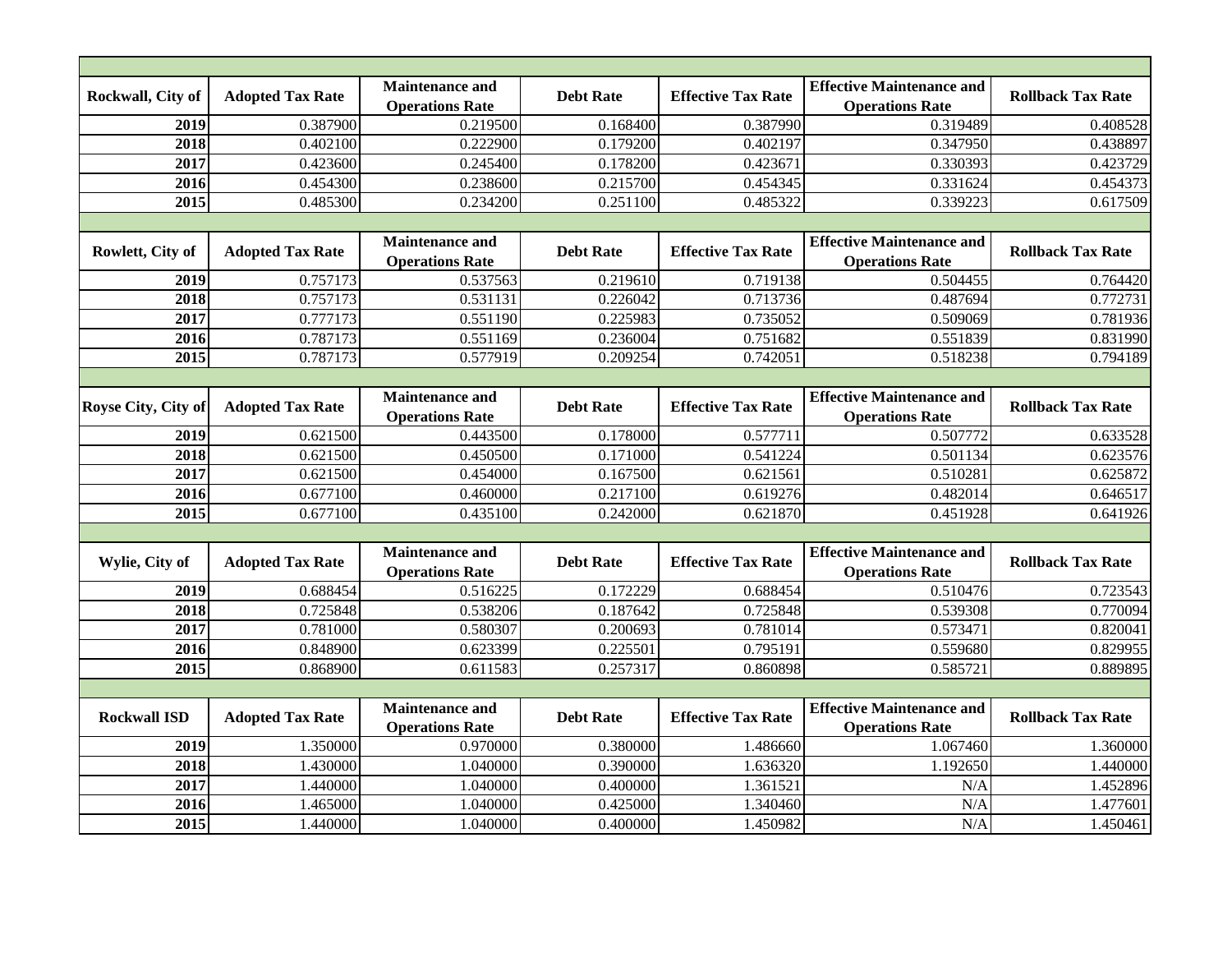| Rockwall, City of   | <b>Adopted Tax Rate</b> | <b>Maintenance and</b><br><b>Operations Rate</b> | <b>Debt Rate</b> | <b>Effective Tax Rate</b> | <b>Effective Maintenance and</b><br><b>Operations Rate</b> | <b>Rollback Tax Rate</b> |  |
|---------------------|-------------------------|--------------------------------------------------|------------------|---------------------------|------------------------------------------------------------|--------------------------|--|
| 2019                | 0.387900                | 0.219500                                         | 0.168400         | 0.387990                  | 0.319489                                                   | 0.408528                 |  |
| 2018                | 0.402100                | 0.222900                                         | 0.179200         | 0.402197                  | 0.347950                                                   | 0.438897                 |  |
| 2017                | 0.423600                | 0.245400                                         | 0.178200         | 0.423671                  | 0.330393                                                   | 0.423729                 |  |
| 2016                | 0.454300                | 0.238600                                         | 0.215700         | 0.454345                  | 0.331624                                                   | 0.454373                 |  |
| 2015                | 0.485300                | 0.234200                                         | 0.251100         | 0.485322                  | 0.339223                                                   | 0.617509                 |  |
|                     |                         |                                                  |                  |                           |                                                            |                          |  |
| Rowlett, City of    | <b>Adopted Tax Rate</b> | <b>Maintenance and</b><br><b>Operations Rate</b> | <b>Debt Rate</b> | <b>Effective Tax Rate</b> | <b>Effective Maintenance and</b><br><b>Operations Rate</b> | <b>Rollback Tax Rate</b> |  |
| 2019                | 0.757173                | 0.537563                                         | 0.219610         | 0.719138                  | 0.504455                                                   | 0.764420                 |  |
| 2018                | 0.757173                | 0.531131                                         | 0.226042         | 0.713736                  | 0.487694                                                   | 0.772731                 |  |
| 2017                | 0.777173                | 0.551190                                         | 0.225983         | 0.735052                  | 0.509069                                                   | 0.781936                 |  |
| 2016                | 0.787173                | 0.551169                                         | 0.236004         | 0.751682                  | 0.551839                                                   | 0.831990                 |  |
| 2015                | 0.787173                | 0.577919                                         | 0.209254         | 0.742051                  | 0.518238                                                   | 0.794189                 |  |
|                     |                         |                                                  |                  |                           |                                                            |                          |  |
| Royse City, City of | <b>Adopted Tax Rate</b> | <b>Maintenance and</b><br><b>Operations Rate</b> | <b>Debt Rate</b> | <b>Effective Tax Rate</b> | <b>Effective Maintenance and</b><br><b>Operations Rate</b> | <b>Rollback Tax Rate</b> |  |
| 2019                | 0.621500                | 0.443500                                         | 0.178000         | 0.577711                  | 0.507772                                                   | 0.633528                 |  |
| 2018                | 0.621500                | 0.450500                                         | 0.171000         | 0.541224                  | 0.501134                                                   | 0.623576                 |  |
| 2017                | 0.621500                | 0.454000                                         | 0.167500         | 0.621561                  | 0.510281                                                   | 0.625872                 |  |
| 2016                | 0.677100                | 0.460000                                         | 0.217100         | 0.619276                  | 0.482014                                                   | 0.646517                 |  |
| 2015                | 0.677100                | 0.435100                                         | 0.242000         | 0.621870                  | 0.451928                                                   | 0.641926                 |  |
|                     |                         |                                                  |                  |                           |                                                            |                          |  |
| Wylie, City of      | <b>Adopted Tax Rate</b> | <b>Maintenance and</b><br><b>Operations Rate</b> | <b>Debt Rate</b> | <b>Effective Tax Rate</b> | <b>Effective Maintenance and</b><br><b>Operations Rate</b> | <b>Rollback Tax Rate</b> |  |
| 2019                | 0.688454                | 0.516225                                         | 0.172229         | 0.688454                  | 0.510476                                                   | 0.723543                 |  |
| 2018                | 0.725848                | 0.538206                                         | 0.187642         | 0.725848                  | 0.539308                                                   | 0.770094                 |  |
| $\overline{2017}$   | 0.781000                | 0.580307                                         | 0.200693         | 0.781014                  | 0.573471                                                   | 0.820041                 |  |
| $\overline{2016}$   | 0.848900                | 0.623399                                         | 0.225501         | 0.795191                  | 0.559680                                                   | 0.829955                 |  |
| 2015                | 0.868900                | 0.611583                                         | 0.257317         | 0.860898                  | 0.585721                                                   | 0.889895                 |  |
|                     |                         |                                                  |                  |                           |                                                            |                          |  |
| <b>Rockwall ISD</b> | <b>Adopted Tax Rate</b> | <b>Maintenance and</b><br><b>Operations Rate</b> | <b>Debt Rate</b> | <b>Effective Tax Rate</b> | <b>Effective Maintenance and</b><br><b>Operations Rate</b> | <b>Rollback Tax Rate</b> |  |
| 2019                | 1.350000                | 0.970000                                         | 0.380000         | 1.486660                  | 1.067460                                                   | 1.360000                 |  |
| 2018                | 1.430000                | 1.040000                                         | 0.390000         | 1.636320                  | 1.192650                                                   | 1.440000                 |  |
| 2017                | 1.440000                | 1.040000                                         | 0.400000         | 1.361521                  | N/A                                                        | 1.452896                 |  |
| 2016                | 1.465000                | 1.040000                                         | 0.425000         | 1.340460                  | N/A                                                        | 1.477601                 |  |
| 2015                | 1.440000                | 1.040000                                         | 0.400000         | 1.450982                  | N/A                                                        | 1.450461                 |  |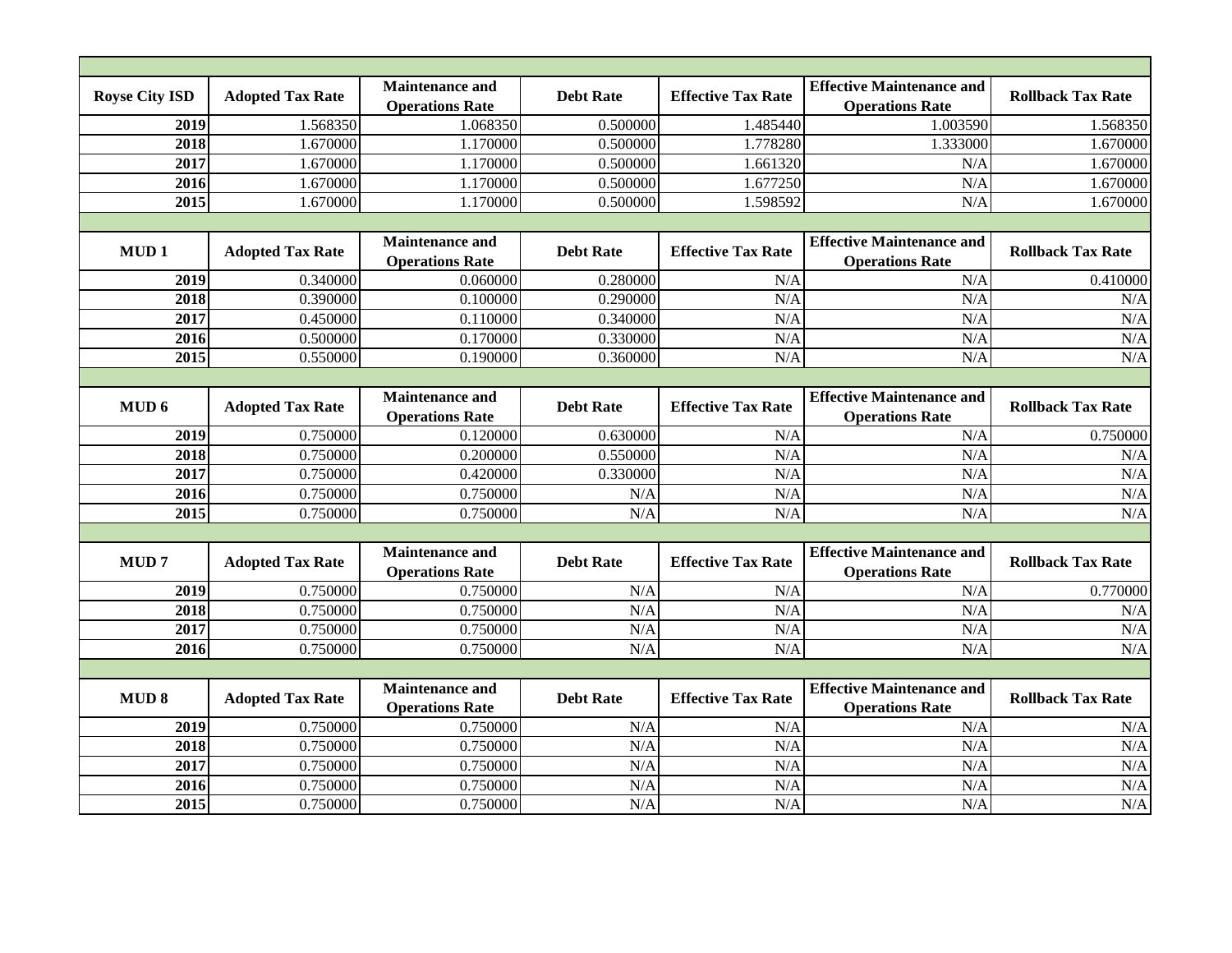| <b>Royse City ISD</b> | <b>Adopted Tax Rate</b> | <b>Maintenance and</b><br><b>Operations Rate</b> | <b>Debt Rate</b> | <b>Effective Tax Rate</b> | <b>Effective Maintenance and</b><br><b>Operations Rate</b> | <b>Rollback Tax Rate</b> |  |  |
|-----------------------|-------------------------|--------------------------------------------------|------------------|---------------------------|------------------------------------------------------------|--------------------------|--|--|
| 2019                  | 1.568350                | 1.068350                                         | 0.500000         | 1.485440                  | 1.003590                                                   | 1.568350                 |  |  |
| 2018                  | 1.670000                | 1.170000                                         | 0.500000         | 1.778280                  | 1.333000                                                   | 1.670000                 |  |  |
| 2017                  | 1.670000                | 1.170000                                         | 0.500000         | 1.661320                  | N/A                                                        | 1.670000                 |  |  |
| 2016                  | 1.670000                | 1.170000                                         | 0.500000         | 1.677250                  | N/A                                                        | 1.670000                 |  |  |
| 2015                  | 1.670000                | 1.170000                                         | 0.500000         | 1.598592                  | N/A                                                        | 1.670000                 |  |  |
|                       |                         |                                                  |                  |                           |                                                            |                          |  |  |
| MUD <sub>1</sub>      | <b>Adopted Tax Rate</b> | <b>Maintenance and</b><br><b>Operations Rate</b> | <b>Debt Rate</b> | <b>Effective Tax Rate</b> | <b>Effective Maintenance and</b><br><b>Operations Rate</b> | <b>Rollback Tax Rate</b> |  |  |
| 2019                  | 0.340000                | 0.060000                                         | 0.280000         | N/A                       | N/A                                                        | 0.410000                 |  |  |
| 2018                  | 0.390000                | 0.100000                                         | 0.290000         | N/A                       | N/A                                                        | N/A                      |  |  |
| 2017                  | 0.450000                | 0.110000                                         | 0.340000         | N/A                       | N/A                                                        | N/A                      |  |  |
| 2016                  | 0.500000                | 0.170000                                         | 0.330000         | N/A                       | N/A                                                        | N/A                      |  |  |
| 2015                  | 0.550000                | 0.190000                                         | 0.360000         | N/A                       | N/A                                                        | N/A                      |  |  |
|                       |                         |                                                  |                  |                           |                                                            |                          |  |  |
| MUD 6                 | <b>Adopted Tax Rate</b> | <b>Maintenance and</b><br><b>Operations Rate</b> | <b>Debt Rate</b> | <b>Effective Tax Rate</b> | <b>Effective Maintenance and</b><br><b>Operations Rate</b> | <b>Rollback Tax Rate</b> |  |  |
| 2019                  | 0.750000                | 0.120000                                         | 0.630000         | N/A                       | N/A                                                        | 0.750000                 |  |  |
| 2018                  | 0.750000                | 0.200000                                         | 0.550000         | N/A                       | N/A                                                        | N/A                      |  |  |
| $\frac{2017}{ }$      | 0.750000                | 0.420000                                         | 0.330000         | N/A                       | N/A                                                        | N/A                      |  |  |
| 2016                  | 0.750000                | 0.750000                                         | N/A              | N/A                       | N/A                                                        | N/A                      |  |  |
| 2015                  | 0.750000                | 0.750000                                         | N/A              | N/A                       | N/A                                                        | N/A                      |  |  |
|                       |                         |                                                  |                  |                           |                                                            |                          |  |  |
| MUD <sub>7</sub>      | <b>Adopted Tax Rate</b> | <b>Maintenance and</b><br><b>Operations Rate</b> | <b>Debt Rate</b> | <b>Effective Tax Rate</b> | <b>Effective Maintenance and</b><br><b>Operations Rate</b> | <b>Rollback Tax Rate</b> |  |  |
| 2019                  | 0.750000                | 0.750000                                         | N/A              | N/A                       | N/A                                                        | 0.770000                 |  |  |
| 2018                  | 0.750000                | 0.750000                                         | N/A              | N/A                       | N/A                                                        | N/A                      |  |  |
| 2017                  | 0.750000                | 0.750000                                         | N/A              | N/A                       | N/A                                                        | N/A                      |  |  |
| 2016                  | 0.750000                | 0.750000                                         | N/A              | N/A                       | N/A                                                        | N/A                      |  |  |
|                       |                         |                                                  |                  |                           |                                                            |                          |  |  |
| <b>MUD 8</b>          | <b>Adopted Tax Rate</b> | <b>Maintenance and</b><br><b>Operations Rate</b> | <b>Debt Rate</b> | <b>Effective Tax Rate</b> | <b>Effective Maintenance and</b><br><b>Operations Rate</b> | <b>Rollback Tax Rate</b> |  |  |
| 2019                  | 0.750000                | 0.750000                                         | N/A              | N/A                       | N/A                                                        | N/A                      |  |  |
| 2018                  | 0.750000                | 0.750000                                         | N/A              | N/A                       | N/A                                                        | N/A                      |  |  |
| 2017                  | 0.750000                | 0.750000                                         | N/A              | N/A                       | N/A                                                        | N/A                      |  |  |
| 2016                  | 0.750000                | 0.750000                                         | N/A              | N/A                       | N/A                                                        | N/A                      |  |  |
| 2015                  | 0.750000                | 0.750000                                         | N/A              | N/A                       | N/A                                                        | N/A                      |  |  |